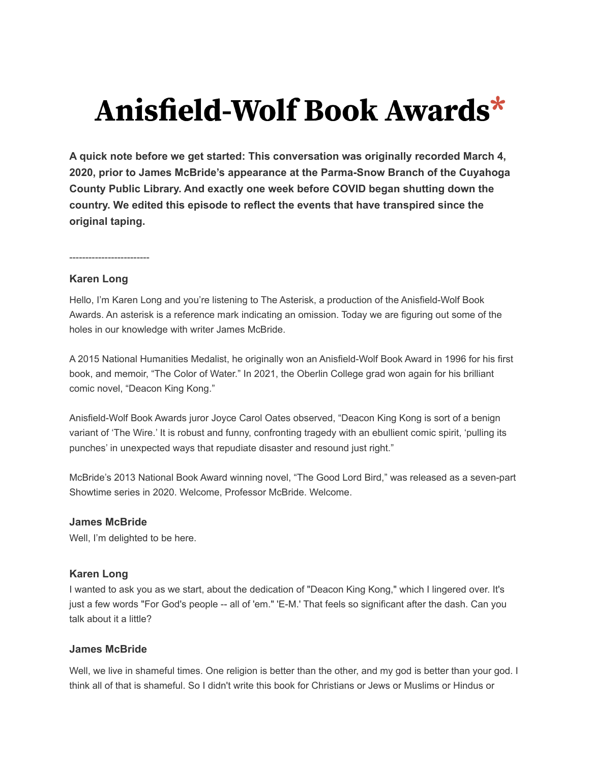# Anisfield-Wolf Book Awards\*

**A quick note before we get started: This conversation was originally recorded March 4, 2020, prior to James McBride's appearance at the Parma-Snow Branch of the Cuyahoga County Public Library. And exactly one week before COVID began shutting down the country. We edited this episode to reflect the events that have transpired since the original taping.**

-------------------------

## **Karen Long**

Hello, I'm Karen Long and you're listening to The Asterisk, a production of the Anisfield-Wolf Book Awards. An asterisk is a reference mark indicating an omission. Today we are figuring out some of the holes in our knowledge with writer James McBride.

A 2015 National Humanities Medalist, he originally won an Anisfield-Wolf Book Award in 1996 for his first book, and memoir, "The Color of Water." In 2021, the Oberlin College grad won again for his brilliant comic novel, "Deacon King Kong."

Anisfield-Wolf Book Awards juror Joyce Carol Oates observed, "Deacon King Kong is sort of a benign variant of 'The Wire.' It is robust and funny, confronting tragedy with an ebullient comic spirit, 'pulling its punches' in unexpected ways that repudiate disaster and resound just right."

McBride's 2013 National Book Award winning novel, "The Good Lord Bird," was released as a seven-part Showtime series in 2020. Welcome, Professor McBride. Welcome.

# **James McBride**

Well, I'm delighted to be here.

# **Karen Long**

I wanted to ask you as we start, about the dedication of "Deacon King Kong," which I lingered over. It's just a few words "For God's people -- all of 'em." 'E-M.' That feels so significant after the dash. Can you talk about it a little?

#### **James McBride**

Well, we live in shameful times. One religion is better than the other, and my god is better than your god. I think all of that is shameful. So I didn't write this book for Christians or Jews or Muslims or Hindus or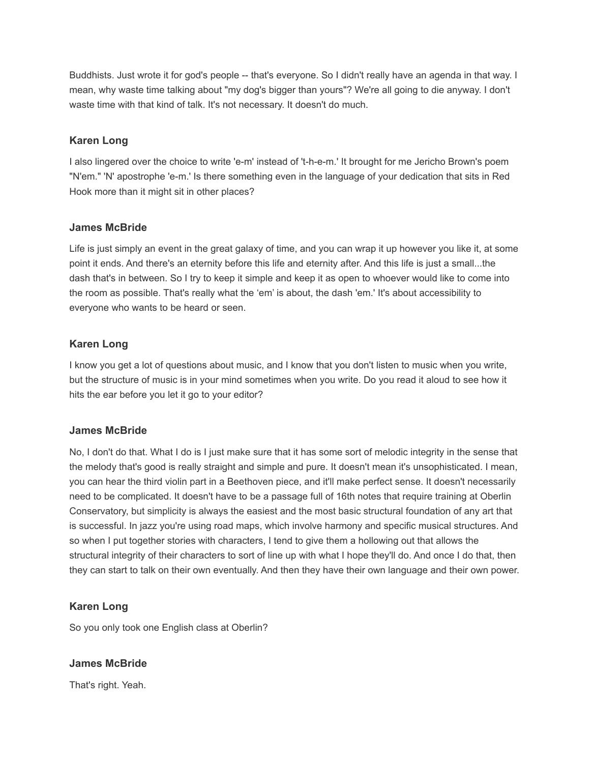Buddhists. Just wrote it for god's people -- that's everyone. So I didn't really have an agenda in that way. I mean, why waste time talking about "my dog's bigger than yours"? We're all going to die anyway. I don't waste time with that kind of talk. It's not necessary. It doesn't do much.

# **Karen Long**

I also lingered over the choice to write 'e-m' instead of 't-h-e-m.' It brought for me Jericho Brown's poem "N'em." 'N' apostrophe 'e-m.' Is there something even in the language of your dedication that sits in Red Hook more than it might sit in other places?

## **James McBride**

Life is just simply an event in the great galaxy of time, and you can wrap it up however you like it, at some point it ends. And there's an eternity before this life and eternity after. And this life is just a small...the dash that's in between. So I try to keep it simple and keep it as open to whoever would like to come into the room as possible. That's really what the 'em' is about, the dash 'em.' It's about accessibility to everyone who wants to be heard or seen.

# **Karen Long**

I know you get a lot of questions about music, and I know that you don't listen to music when you write, but the structure of music is in your mind sometimes when you write. Do you read it aloud to see how it hits the ear before you let it go to your editor?

# **James McBride**

No, I don't do that. What I do is I just make sure that it has some sort of melodic integrity in the sense that the melody that's good is really straight and simple and pure. It doesn't mean it's unsophisticated. I mean, you can hear the third violin part in a Beethoven piece, and it'll make perfect sense. It doesn't necessarily need to be complicated. It doesn't have to be a passage full of 16th notes that require training at Oberlin Conservatory, but simplicity is always the easiest and the most basic structural foundation of any art that is successful. In jazz you're using road maps, which involve harmony and specific musical structures. And so when I put together stories with characters, I tend to give them a hollowing out that allows the structural integrity of their characters to sort of line up with what I hope they'll do. And once I do that, then they can start to talk on their own eventually. And then they have their own language and their own power.

# **Karen Long**

So you only took one English class at Oberlin?

# **James McBride**

That's right. Yeah.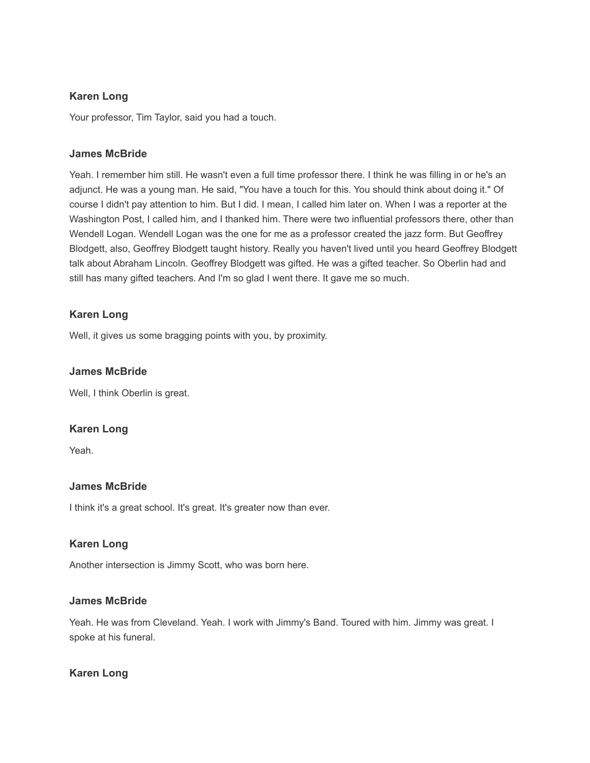# **Karen Long**

Your professor, Tim Taylor, said you had a touch.

# **James McBride**

Yeah. I remember him still. He wasn't even a full time professor there. I think he was filling in or he's an adjunct. He was a young man. He said, "You have a touch for this. You should think about doing it." Of course I didn't pay attention to him. But I did. I mean, I called him later on. When I was a reporter at the Washington Post, I called him, and I thanked him. There were two influential professors there, other than Wendell Logan. Wendell Logan was the one for me as a professor created the jazz form. But Geoffrey Blodgett, also, Geoffrey Blodgett taught history. Really you haven't lived until you heard Geoffrey Blodgett talk about Abraham Lincoln. Geoffrey Blodgett was gifted. He was a gifted teacher. So Oberlin had and still has many gifted teachers. And I'm so glad I went there. It gave me so much.

# **Karen Long**

Well, it gives us some bragging points with you, by proximity.

# **James McBride**

Well, I think Oberlin is great.

# **Karen Long**

Yeah.

# **James McBride**

I think it's a great school. It's great. It's greater now than ever.

# **Karen Long**

Another intersection is Jimmy Scott, who was born here.

#### **James McBride**

Yeah. He was from Cleveland. Yeah. I work with Jimmy's Band. Toured with him. Jimmy was great. I spoke at his funeral.

# **Karen Long**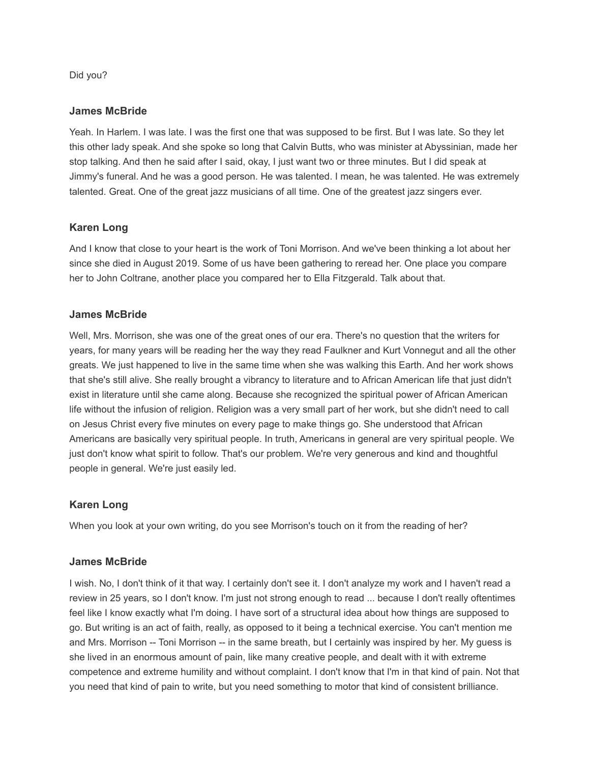Did you?

#### **James McBride**

Yeah. In Harlem. I was late. I was the first one that was supposed to be first. But I was late. So they let this other lady speak. And she spoke so long that Calvin Butts, who was minister at Abyssinian, made her stop talking. And then he said after I said, okay, I just want two or three minutes. But I did speak at Jimmy's funeral. And he was a good person. He was talented. I mean, he was talented. He was extremely talented. Great. One of the great jazz musicians of all time. One of the greatest jazz singers ever.

# **Karen Long**

And I know that close to your heart is the work of Toni Morrison. And we've been thinking a lot about her since she died in August 2019. Some of us have been gathering to reread her. One place you compare her to John Coltrane, another place you compared her to Ella Fitzgerald. Talk about that.

## **James McBride**

Well, Mrs. Morrison, she was one of the great ones of our era. There's no question that the writers for years, for many years will be reading her the way they read Faulkner and Kurt Vonnegut and all the other greats. We just happened to live in the same time when she was walking this Earth. And her work shows that she's still alive. She really brought a vibrancy to literature and to African American life that just didn't exist in literature until she came along. Because she recognized the spiritual power of African American life without the infusion of religion. Religion was a very small part of her work, but she didn't need to call on Jesus Christ every five minutes on every page to make things go. She understood that African Americans are basically very spiritual people. In truth, Americans in general are very spiritual people. We just don't know what spirit to follow. That's our problem. We're very generous and kind and thoughtful people in general. We're just easily led.

# **Karen Long**

When you look at your own writing, do you see Morrison's touch on it from the reading of her?

#### **James McBride**

I wish. No, I don't think of it that way. I certainly don't see it. I don't analyze my work and I haven't read a review in 25 years, so I don't know. I'm just not strong enough to read ... because I don't really oftentimes feel like I know exactly what I'm doing. I have sort of a structural idea about how things are supposed to go. But writing is an act of faith, really, as opposed to it being a technical exercise. You can't mention me and Mrs. Morrison -- Toni Morrison -- in the same breath, but I certainly was inspired by her. My guess is she lived in an enormous amount of pain, like many creative people, and dealt with it with extreme competence and extreme humility and without complaint. I don't know that I'm in that kind of pain. Not that you need that kind of pain to write, but you need something to motor that kind of consistent brilliance.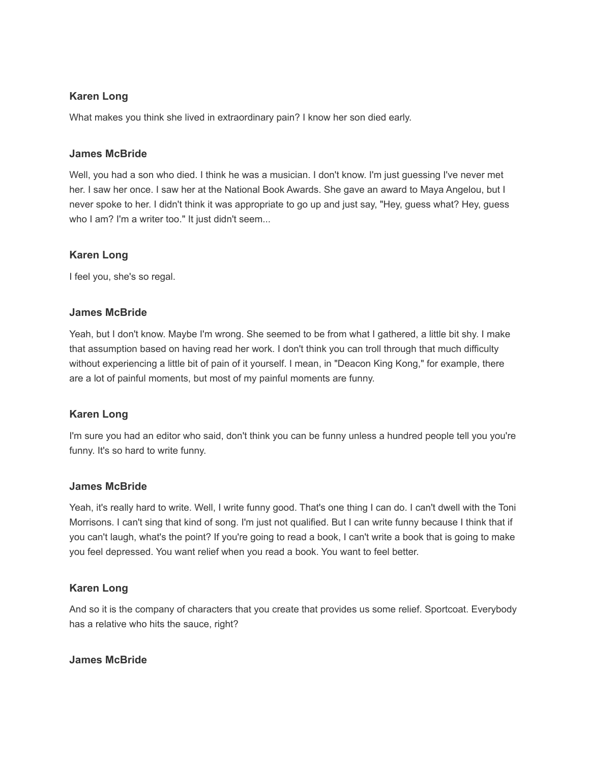# **Karen Long**

What makes you think she lived in extraordinary pain? I know her son died early.

## **James McBride**

Well, you had a son who died. I think he was a musician. I don't know. I'm just guessing I've never met her. I saw her once. I saw her at the National Book Awards. She gave an award to Maya Angelou, but I never spoke to her. I didn't think it was appropriate to go up and just say, "Hey, guess what? Hey, guess who I am? I'm a writer too." It just didn't seem...

# **Karen Long**

I feel you, she's so regal.

# **James McBride**

Yeah, but I don't know. Maybe I'm wrong. She seemed to be from what I gathered, a little bit shy. I make that assumption based on having read her work. I don't think you can troll through that much difficulty without experiencing a little bit of pain of it yourself. I mean, in "Deacon King Kong," for example, there are a lot of painful moments, but most of my painful moments are funny.

# **Karen Long**

I'm sure you had an editor who said, don't think you can be funny unless a hundred people tell you you're funny. It's so hard to write funny.

# **James McBride**

Yeah, it's really hard to write. Well, I write funny good. That's one thing I can do. I can't dwell with the Toni Morrisons. I can't sing that kind of song. I'm just not qualified. But I can write funny because I think that if you can't laugh, what's the point? If you're going to read a book, I can't write a book that is going to make you feel depressed. You want relief when you read a book. You want to feel better.

# **Karen Long**

And so it is the company of characters that you create that provides us some relief. Sportcoat. Everybody has a relative who hits the sauce, right?

# **James McBride**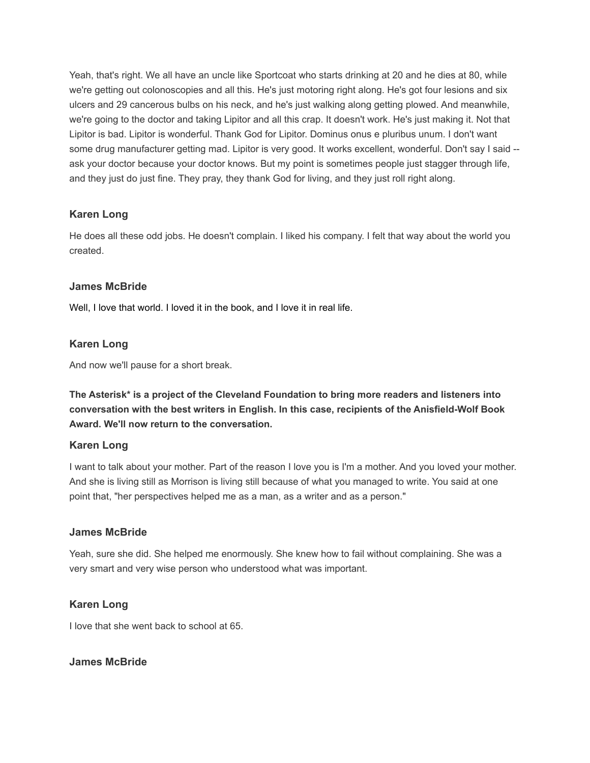Yeah, that's right. We all have an uncle like Sportcoat who starts drinking at 20 and he dies at 80, while we're getting out colonoscopies and all this. He's just motoring right along. He's got four lesions and six ulcers and 29 cancerous bulbs on his neck, and he's just walking along getting plowed. And meanwhile, we're going to the doctor and taking Lipitor and all this crap. It doesn't work. He's just making it. Not that Lipitor is bad. Lipitor is wonderful. Thank God for Lipitor. Dominus onus e pluribus unum. I don't want some drug manufacturer getting mad. Lipitor is very good. It works excellent, wonderful. Don't say I said -ask your doctor because your doctor knows. But my point is sometimes people just stagger through life, and they just do just fine. They pray, they thank God for living, and they just roll right along.

# **Karen Long**

He does all these odd jobs. He doesn't complain. I liked his company. I felt that way about the world you created.

# **James McBride**

Well, I love that world. I loved it in the book, and I love it in real life.

# **Karen Long**

And now we'll pause for a short break.

**The Asterisk\* is a project of the Cleveland Foundation to bring more readers and listeners into conversation with the best writers in English. In this case, recipients of the Anisfield-Wolf Book Award. We'll now return to the conversation.**

# **Karen Long**

I want to talk about your mother. Part of the reason I love you is I'm a mother. And you loved your mother. And she is living still as Morrison is living still because of what you managed to write. You said at one point that, "her perspectives helped me as a man, as a writer and as a person."

# **James McBride**

Yeah, sure she did. She helped me enormously. She knew how to fail without complaining. She was a very smart and very wise person who understood what was important.

# **Karen Long**

I love that she went back to school at 65.

# **James McBride**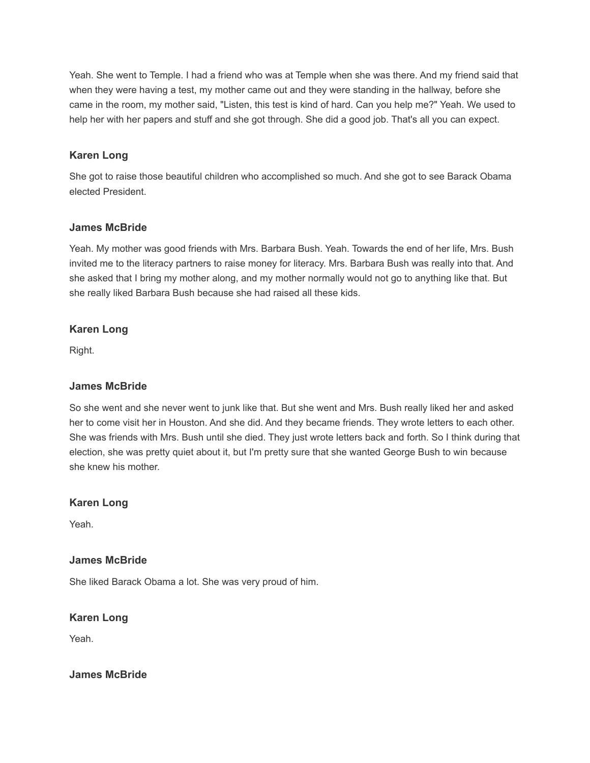Yeah. She went to Temple. I had a friend who was at Temple when she was there. And my friend said that when they were having a test, my mother came out and they were standing in the hallway, before she came in the room, my mother said, "Listen, this test is kind of hard. Can you help me?" Yeah. We used to help her with her papers and stuff and she got through. She did a good job. That's all you can expect.

# **Karen Long**

She got to raise those beautiful children who accomplished so much. And she got to see Barack Obama elected President.

#### **James McBride**

Yeah. My mother was good friends with Mrs. Barbara Bush. Yeah. Towards the end of her life, Mrs. Bush invited me to the literacy partners to raise money for literacy. Mrs. Barbara Bush was really into that. And she asked that I bring my mother along, and my mother normally would not go to anything like that. But she really liked Barbara Bush because she had raised all these kids.

## **Karen Long**

Right.

## **James McBride**

So she went and she never went to junk like that. But she went and Mrs. Bush really liked her and asked her to come visit her in Houston. And she did. And they became friends. They wrote letters to each other. She was friends with Mrs. Bush until she died. They just wrote letters back and forth. So I think during that election, she was pretty quiet about it, but I'm pretty sure that she wanted George Bush to win because she knew his mother.

#### **Karen Long**

Yeah.

#### **James McBride**

She liked Barack Obama a lot. She was very proud of him.

#### **Karen Long**

Yeah.

#### **James McBride**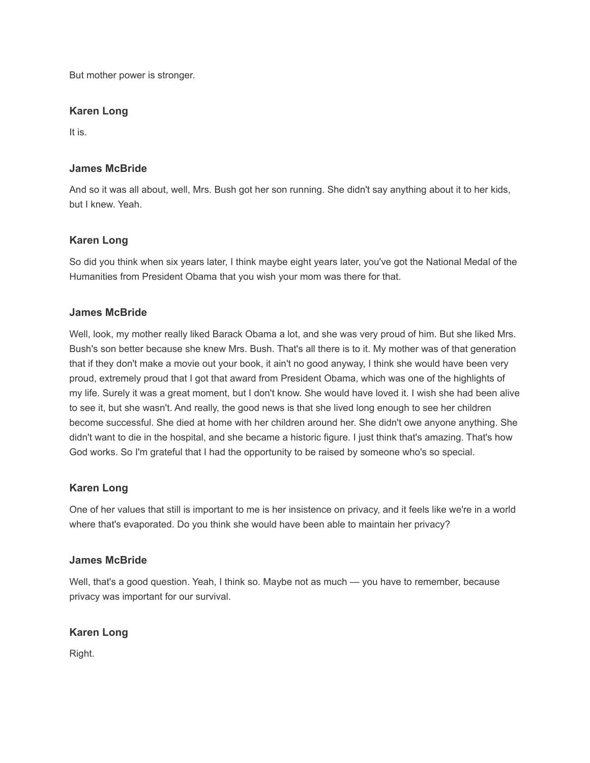But mother power is stronger.

## **Karen Long**

It is.

## **James McBride**

And so it was all about, well, Mrs. Bush got her son running. She didn't say anything about it to her kids, but I knew. Yeah.

## **Karen Long**

So did you think when six years later, I think maybe eight years later, you've got the National Medal of the Humanities from President Obama that you wish your mom was there for that.

## **James McBride**

Well, look, my mother really liked Barack Obama a lot, and she was very proud of him. But she liked Mrs. Bush's son better because she knew Mrs. Bush. That's all there is to it. My mother was of that generation that if they don't make a movie out your book, it ain't no good anyway, I think she would have been very proud, extremely proud that I got that award from President Obama, which was one of the highlights of my life. Surely it was a great moment, but I don't know. She would have loved it. I wish she had been alive to see it, but she wasn't. And really, the good news is that she lived long enough to see her children become successful. She died at home with her children around her. She didn't owe anyone anything. She didn't want to die in the hospital, and she became a historic figure. I just think that's amazing. That's how God works. So I'm grateful that I had the opportunity to be raised by someone who's so special.

#### **Karen Long**

One of her values that still is important to me is her insistence on privacy, and it feels like we're in a world where that's evaporated. Do you think she would have been able to maintain her privacy?

#### **James McBride**

Well, that's a good question. Yeah, I think so. Maybe not as much — you have to remember, because privacy was important for our survival.

# **Karen Long**

Right.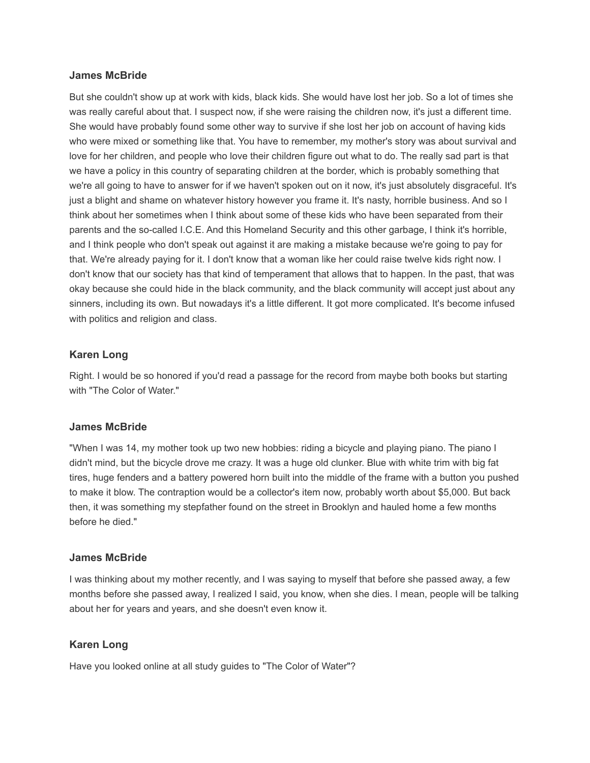#### **James McBride**

But she couldn't show up at work with kids, black kids. She would have lost her job. So a lot of times she was really careful about that. I suspect now, if she were raising the children now, it's just a different time. She would have probably found some other way to survive if she lost her job on account of having kids who were mixed or something like that. You have to remember, my mother's story was about survival and love for her children, and people who love their children figure out what to do. The really sad part is that we have a policy in this country of separating children at the border, which is probably something that we're all going to have to answer for if we haven't spoken out on it now, it's just absolutely disgraceful. It's just a blight and shame on whatever history however you frame it. It's nasty, horrible business. And so I think about her sometimes when I think about some of these kids who have been separated from their parents and the so-called I.C.E. And this Homeland Security and this other garbage, I think it's horrible, and I think people who don't speak out against it are making a mistake because we're going to pay for that. We're already paying for it. I don't know that a woman like her could raise twelve kids right now. I don't know that our society has that kind of temperament that allows that to happen. In the past, that was okay because she could hide in the black community, and the black community will accept just about any sinners, including its own. But nowadays it's a little different. It got more complicated. It's become infused with politics and religion and class.

#### **Karen Long**

Right. I would be so honored if you'd read a passage for the record from maybe both books but starting with "The Color of Water."

#### **James McBride**

"When I was 14, my mother took up two new hobbies: riding a bicycle and playing piano. The piano I didn't mind, but the bicycle drove me crazy. It was a huge old clunker. Blue with white trim with big fat tires, huge fenders and a battery powered horn built into the middle of the frame with a button you pushed to make it blow. The contraption would be a collector's item now, probably worth about \$5,000. But back then, it was something my stepfather found on the street in Brooklyn and hauled home a few months before he died."

#### **James McBride**

I was thinking about my mother recently, and I was saying to myself that before she passed away, a few months before she passed away, I realized I said, you know, when she dies. I mean, people will be talking about her for years and years, and she doesn't even know it.

#### **Karen Long**

Have you looked online at all study guides to "The Color of Water"?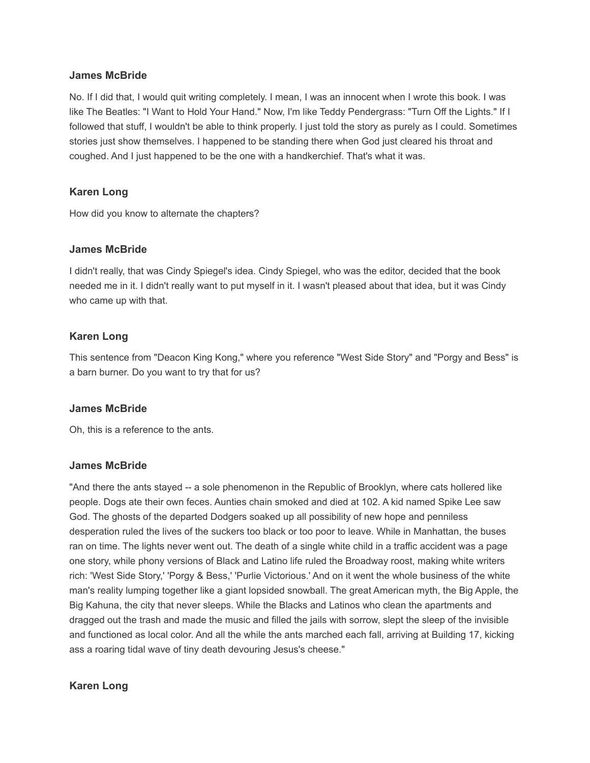#### **James McBride**

No. If I did that, I would quit writing completely. I mean, I was an innocent when I wrote this book. I was like The Beatles: "I Want to Hold Your Hand." Now, I'm like Teddy Pendergrass: "Turn Off the Lights." If I followed that stuff, I wouldn't be able to think properly. I just told the story as purely as I could. Sometimes stories just show themselves. I happened to be standing there when God just cleared his throat and coughed. And I just happened to be the one with a handkerchief. That's what it was.

## **Karen Long**

How did you know to alternate the chapters?

#### **James McBride**

I didn't really, that was Cindy Spiegel's idea. Cindy Spiegel, who was the editor, decided that the book needed me in it. I didn't really want to put myself in it. I wasn't pleased about that idea, but it was Cindy who came up with that.

## **Karen Long**

This sentence from "Deacon King Kong," where you reference "West Side Story" and "Porgy and Bess" is a barn burner. Do you want to try that for us?

#### **James McBride**

Oh, this is a reference to the ants.

#### **James McBride**

"And there the ants stayed -- a sole phenomenon in the Republic of Brooklyn, where cats hollered like people. Dogs ate their own feces. Aunties chain smoked and died at 102. A kid named Spike Lee saw God. The ghosts of the departed Dodgers soaked up all possibility of new hope and penniless desperation ruled the lives of the suckers too black or too poor to leave. While in Manhattan, the buses ran on time. The lights never went out. The death of a single white child in a traffic accident was a page one story, while phony versions of Black and Latino life ruled the Broadway roost, making white writers rich: 'West Side Story,' 'Porgy & Bess,' 'Purlie Victorious.' And on it went the whole business of the white man's reality lumping together like a giant lopsided snowball. The great American myth, the Big Apple, the Big Kahuna, the city that never sleeps. While the Blacks and Latinos who clean the apartments and dragged out the trash and made the music and filled the jails with sorrow, slept the sleep of the invisible and functioned as local color. And all the while the ants marched each fall, arriving at Building 17, kicking ass a roaring tidal wave of tiny death devouring Jesus's cheese."

# **Karen Long**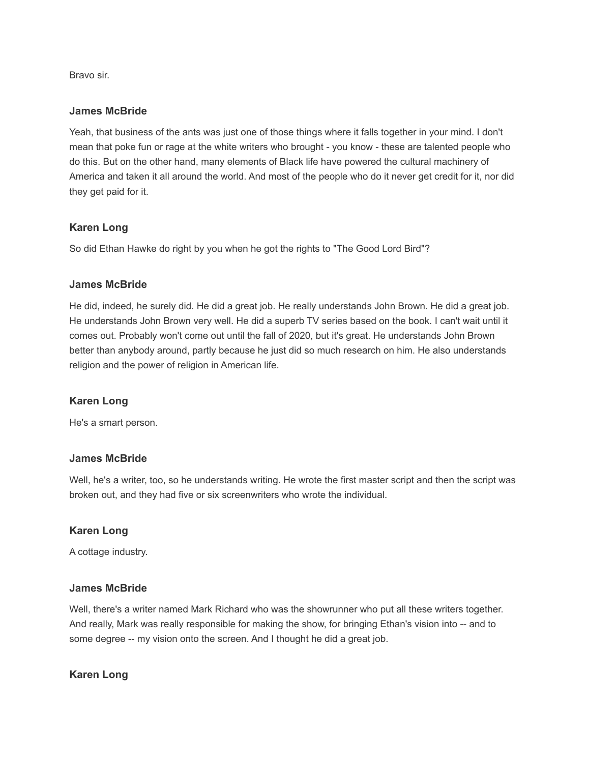Bravo sir.

#### **James McBride**

Yeah, that business of the ants was just one of those things where it falls together in your mind. I don't mean that poke fun or rage at the white writers who brought - you know - these are talented people who do this. But on the other hand, many elements of Black life have powered the cultural machinery of America and taken it all around the world. And most of the people who do it never get credit for it, nor did they get paid for it.

## **Karen Long**

So did Ethan Hawke do right by you when he got the rights to "The Good Lord Bird"?

## **James McBride**

He did, indeed, he surely did. He did a great job. He really understands John Brown. He did a great job. He understands John Brown very well. He did a superb TV series based on the book. I can't wait until it comes out. Probably won't come out until the fall of 2020, but it's great. He understands John Brown better than anybody around, partly because he just did so much research on him. He also understands religion and the power of religion in American life.

# **Karen Long**

He's a smart person.

#### **James McBride**

Well, he's a writer, too, so he understands writing. He wrote the first master script and then the script was broken out, and they had five or six screenwriters who wrote the individual.

#### **Karen Long**

A cottage industry.

#### **James McBride**

Well, there's a writer named Mark Richard who was the showrunner who put all these writers together. And really, Mark was really responsible for making the show, for bringing Ethan's vision into -- and to some degree -- my vision onto the screen. And I thought he did a great job.

#### **Karen Long**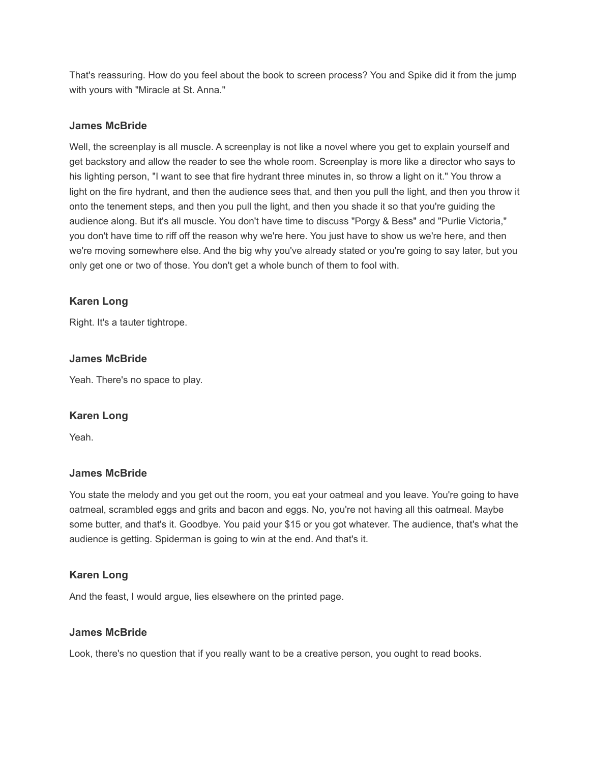That's reassuring. How do you feel about the book to screen process? You and Spike did it from the jump with yours with "Miracle at St. Anna."

#### **James McBride**

Well, the screenplay is all muscle. A screenplay is not like a novel where you get to explain yourself and get backstory and allow the reader to see the whole room. Screenplay is more like a director who says to his lighting person, "I want to see that fire hydrant three minutes in, so throw a light on it." You throw a light on the fire hydrant, and then the audience sees that, and then you pull the light, and then you throw it onto the tenement steps, and then you pull the light, and then you shade it so that you're guiding the audience along. But it's all muscle. You don't have time to discuss "Porgy & Bess" and "Purlie Victoria," you don't have time to riff off the reason why we're here. You just have to show us we're here, and then we're moving somewhere else. And the big why you've already stated or you're going to say later, but you only get one or two of those. You don't get a whole bunch of them to fool with.

# **Karen Long**

Right. It's a tauter tightrope.

# **James McBride**

Yeah. There's no space to play.

#### **Karen Long**

Yeah.

#### **James McBride**

You state the melody and you get out the room, you eat your oatmeal and you leave. You're going to have oatmeal, scrambled eggs and grits and bacon and eggs. No, you're not having all this oatmeal. Maybe some butter, and that's it. Goodbye. You paid your \$15 or you got whatever. The audience, that's what the audience is getting. Spiderman is going to win at the end. And that's it.

# **Karen Long**

And the feast, I would argue, lies elsewhere on the printed page.

#### **James McBride**

Look, there's no question that if you really want to be a creative person, you ought to read books.